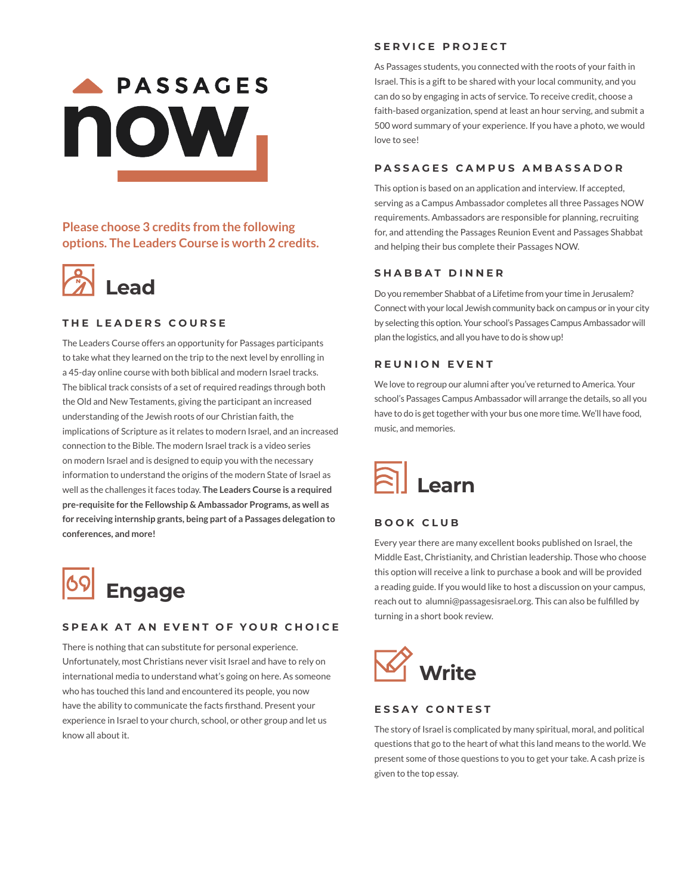# **PASSAGES** now.

# **Please choose 3 credits from the following options. The Leaders Course is worth 2 credits.**



## **THE LEADERS COURSE**

The Leaders Course offers an opportunity for Passages participants to take what they learned on the trip to the next level by enrolling in a 45-day online course with both biblical and modern Israel tracks. The biblical track consists of a set of required readings through both the Old and New Testaments, giving the participant an increased understanding of the Jewish roots of our Christian faith, the implications of Scripture as it relates to modern Israel, and an increased connection to the Bible. The modern Israel track is a video series on modern Israel and is designed to equip you with the necessary information to understand the origins of the modern State of Israel as well as the challenges it faces today. **The Leaders Course is a required pre-requisite for the Fellowship & Ambassador Programs, as well as for receiving internship grants, being part of a Passages delegation to conferences, and more!** 



#### **SPEAK AT AN EVENT OF YOUR CHOICE**

There is nothing that can substitute for personal experience. Unfortunately, most Christians never visit Israel and have to rely on international media to understand what's going on here. As someone who has touched this land and encountered its people, you now have the ability to communicate the facts firsthand. Present your experience in Israel to your church, school, or other group and let us know all about it.

#### **SERVICE PROJECT**

As Passages students, you connected with the roots of your faith in Israel. This is a gift to be shared with your local community, and you can do so by engaging in acts of service. To receive credit, choose a faith-based organization, spend at least an hour serving, and submit a 500 word summary of your experience. If you have a photo, we would love to see!

#### **PASSAGES CAMPUS AMBASSADOR**

This option is based on an application and interview. If accepted, serving as a Campus Ambassador completes all three Passages NOW requirements. Ambassadors are responsible for planning, recruiting for, and attending the Passages Reunion Event and Passages Shabbat and helping their bus complete their Passages NOW.

#### **SHABBAT DINNER**

Do you remember Shabbat of a Lifetime from your time in Jerusalem? Connect with your local Jewish community back on campus or in your city by selecting this option. Your school's Passages Campus Ambassador will plan the logistics, and all you have to do is show up!

#### **REUNION EVENT**

We love to regroup our alumni after you've returned to America. Your school's Passages Campus Ambassador will arrange the details, so all you have to do is get together with your bus one more time. We'll have food, music, and memories.



### **BOOK CLUB**

Every year there are many excellent books published on Israel, the Middle East, Christianity, and Christian leadership. Those who choose this option will receive a link to purchase a book and will be provided a reading guide. If you would like to host a discussion on your campus, reach out to alumni@passagesisrael.org. This can also be fulfilled by turning in a short book review.



#### **ESSAY CONTEST**

The story of Israel is complicated by many spiritual, moral, and political questions that go to the heart of what this land means to the world. We present some of those questions to you to get your take. A cash prize is given to the top essay.